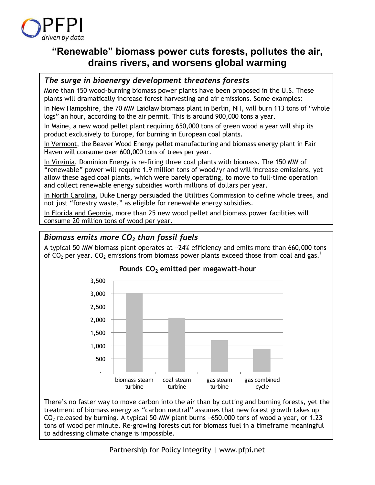

# **"Renewable" biomass power cuts forests, pollutes the air, drains rivers, and worsens global warming**

#### *The surge in bioenergy development threatens forests*

More than 150 wood-burning biomass power plants have been proposed in the U.S. These plants will dramatically increase forest harvesting and air emissions. Some examples:

In New Hampshire, the 70 MW Laidlaw biomass plant in Berlin, NH, will burn 113 tons of "whole logs" an hour, according to the air permit. This is around 900,000 tons a year.

In Maine, a new wood pellet plant requiring 650,000 tons of green wood a year will ship its product exclusively to Europe, for burning in European coal plants.

In Vermont, the Beaver Wood Energy pellet manufacturing and biomass energy plant in Fair Haven will consume over 600,000 tons of trees per year.

In Virginia, Dominion Energy is re-firing three coal plants with biomass. The 150 MW of "renewable" power will require 1.9 million tons of wood/yr and will increase emissions, yet allow these aged coal plants, which were barely operating, to move to full-time operation and collect renewable energy subsidies worth millions of dollars per year.

In North Carolina, Duke Energy persuaded the Utilities Commission to define whole trees, and not just "forestry waste," as eligible for renewable energy subsidies.

In Florida and Georgia, more than 25 new wood pellet and biomass power facilities will consume 20 million tons of wood per year.

## *Biomass emits more CO<sup>2</sup> than fossil fuels*

A typical 50-MW biomass plant operates at ~24% efficiency and emits more than 660,000 tons of  $CO<sub>2</sub>$  per year.  $CO<sub>2</sub>$  emissions from biomass power plants exceed those from coal and gas.<sup>1</sup>



There's no faster way to move carbon into the air than by cutting and burning forests, yet the treatment of biomass energy as "carbon neutral" assumes that new forest growth takes up  $CO<sub>2</sub>$  released by burning. A typical 50-MW plant burns ~650,000 tons of wood a year, or 1.23 tons of wood per minute. Re-growing forests cut for biomass fuel in a timeframe meaningful to addressing climate change is impossible.

Partnership for Policy Integrity | www.pfpi.net